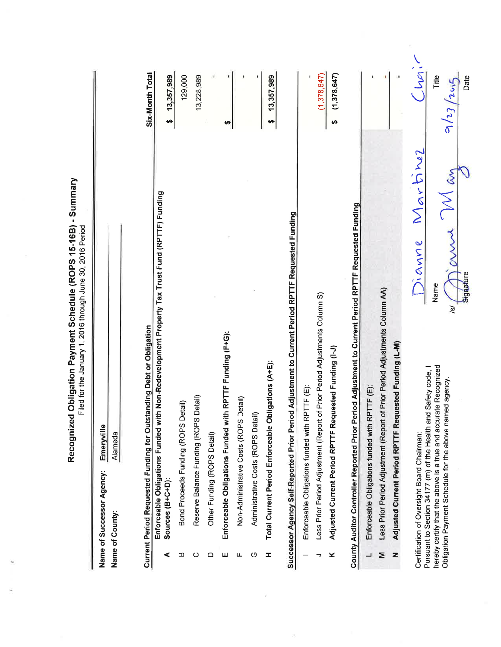|                                                                                                         | Recognized Obligation Payment Schedule (ROPS 15-16B) - Summary<br>Filed for the January 1, 2016 through June 30, 2016 Period |                       |                                      |
|---------------------------------------------------------------------------------------------------------|------------------------------------------------------------------------------------------------------------------------------|-----------------------|--------------------------------------|
| Name of Successor Agency:                                                                               | Emeryville                                                                                                                   |                       |                                      |
| Name of County:                                                                                         | Alameda                                                                                                                      |                       |                                      |
|                                                                                                         | <b>Current Period Requested Funding for Outstanding Debt or Obligation</b>                                                   |                       | Six-Month Total                      |
| Sources (B+C+D):<br>⋖                                                                                   | Enforceable Obligations Funded with Non-Redevelopment Property Tax Trust Fund (RPTTF) Funding                                |                       | 13,357,989<br>မာ                     |
| മ                                                                                                       | Bond Proceeds Funding (ROPS Detail)                                                                                          |                       | 129,000                              |
| ပ                                                                                                       | Reserve Balance Funding (ROPS Detail)                                                                                        |                       | 13,228,989                           |
| Other Funding (ROPS Detail)<br>≏                                                                        |                                                                                                                              |                       |                                      |
| ш                                                                                                       | Enforceable Obligations Funded with RPTTF Funding (F+G):                                                                     |                       | မာ                                   |
| ட                                                                                                       | Non-Administrative Costs (ROPS Detail)                                                                                       |                       |                                      |
| Administrative Costs (ROPS Detail)<br>O                                                                 |                                                                                                                              |                       |                                      |
| I                                                                                                       | Total Current Period Enforceable Obligations (A+E):                                                                          |                       | 13,357,989<br>မာ                     |
|                                                                                                         | Successor Agency Self-Reported Prior Period Adjustment to Current Period RPTTF Requested Funding                             |                       |                                      |
| Enforceable Obligations funded with RPTT                                                                | に<br>「<br>「                                                                                                                  |                       |                                      |
| っ                                                                                                       | Less Prior Period Adjustment (Report of Prior Period Adjustments Column S)                                                   |                       | (1,378,647)                          |
| ×                                                                                                       | Adjusted Current Period RPTTF Requested Funding (I-J)                                                                        |                       | (1,378,647)<br>$\boldsymbol{\omega}$ |
|                                                                                                         | County Auditor Controller Reported Prior Period Adjustment to Current Period RPTTF Requested Funding                         |                       |                                      |
| ┙                                                                                                       | Enforceable Obligations funded with RPTTF (E):                                                                               |                       |                                      |
| Σ                                                                                                       | Less Prior Period Adjustment (Report of Prior Period Adjustments Column AA)                                                  |                       |                                      |
| z                                                                                                       | Adjusted Current Period RPTTF Requested Funding (L-M)                                                                        |                       |                                      |
| Certification of Oversight Board Chairman:                                                              |                                                                                                                              | Martinez<br>Jianne    | j<br>S                               |
| hereby certify that the above is a true and accurate<br>Obligation Payment Schedule for the above named | Recognized<br>Pursuant to Section 34177 (m) of the Health and Safety code,<br>agency.                                        | $\delta$<br>Name<br>ঐ | Title<br>9/23/2015                   |
|                                                                                                         |                                                                                                                              | Signature             | Date                                 |

 $\Delta C_{\rm{max}}$  and  $\Delta C_{\rm{max}}$ 

 $\bar{\sigma}$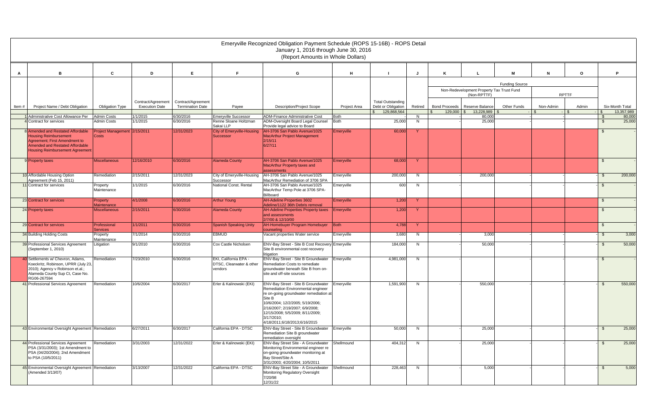|       |                                                                                                                                                                                 |                                          |                                             |                                               |                                                                   | Emeryville Recognized Obligation Payment Schedule (ROPS 15-16B) - ROPS Detail<br>January 1, 2016 through June 30, 2016<br>(Report Amounts in Whole Dollars)                                                                                                                                    |                     |                                                                               |              |              |                                                          |                       |                  |              |                    |                               |
|-------|---------------------------------------------------------------------------------------------------------------------------------------------------------------------------------|------------------------------------------|---------------------------------------------|-----------------------------------------------|-------------------------------------------------------------------|------------------------------------------------------------------------------------------------------------------------------------------------------------------------------------------------------------------------------------------------------------------------------------------------|---------------------|-------------------------------------------------------------------------------|--------------|--------------|----------------------------------------------------------|-----------------------|------------------|--------------|--------------------|-------------------------------|
| A     | в.                                                                                                                                                                              | $\mathbf{c}$                             | D                                           | E                                             | E                                                                 | G                                                                                                                                                                                                                                                                                              | H                   |                                                                               |              |              |                                                          | M                     | $\mathbf N$      | O            |                    | P                             |
|       |                                                                                                                                                                                 |                                          |                                             |                                               |                                                                   |                                                                                                                                                                                                                                                                                                |                     |                                                                               |              |              | Non-Redevelopment Property Tax Trust Fund<br>(Non-RPTTF) | <b>Funding Source</b> |                  | <b>RPTTF</b> |                    |                               |
| Item# | Project Name / Debt Obligation                                                                                                                                                  | <b>Obligation Type</b>                   | Contract/Agreement<br><b>Execution Date</b> | Contract/Agreement<br><b>Termination Date</b> | Payee                                                             | <b>Description/Project Scope</b>                                                                                                                                                                                                                                                               | <b>Project Area</b> | <b>Total Outstanding</b><br>Debt or Obligation<br>129,868,564<br>$\mathbb{S}$ | Retired      | $129,000$ \$ | Bond Proceeds   Reserve Balance<br>13,228,989            | <b>Other Funds</b>    | Non-Admin<br>- 8 | Admin<br>-15 | $-1$ \$            | Six-Month Total<br>13,357,989 |
|       | 1 Administrative Cost Allowance Per<br>4 Contract for services                                                                                                                  | <b>Admin Costs</b><br><b>Admin Costs</b> | 1/1/2015<br>1/1/2015                        | 6/30/2016<br>6/30/2016                        | <b>Emeryville Successor</b><br>Renne Sloane Holtzman<br>Sakai LLP | <b>ADM-Finance Administrative Cost</b><br>ADM-Oversight Board Legal Counsel<br>Provide legal advice to Board                                                                                                                                                                                   | Both<br><b>Both</b> | 25,000                                                                        | N.<br>N      |              | 80,000<br>25,000                                         |                       |                  |              | - 93<br>- \$       | 80,000<br>25,000              |
|       | 8 Amended and Restated Affordable<br><b>Housing Reimbursement</b><br>Agreement: First Amendment to<br>Amended and Restated Affordable<br><b>Housing Reimbursement Agreement</b> | Project Management 2/15/2011<br>Costs    |                                             | 12/31/2023                                    | <b>City of Emeryville-Housing</b><br><b>Successor</b>             | AH-3706 San Pablo Avenue/1025<br><b>MacArthur Project Management</b><br>2/15/11<br>6/27/11                                                                                                                                                                                                     | Emeryville          | 60,000                                                                        | $\mathbf{Y}$ |              |                                                          |                       |                  |              | - \$               |                               |
|       | 9 Property taxes                                                                                                                                                                | <b>Miscellaneous</b>                     | 12/16/2010                                  | 6/30/2016                                     | <b>Alameda County</b>                                             | AH-3706 San Pablo Avenue/1025<br><b>MacArthur Property taxes and</b><br>assessments                                                                                                                                                                                                            | Emeryville          | 68,000                                                                        | <b>Y</b>     |              |                                                          |                       |                  |              | $\mathfrak{L}$     |                               |
|       | 10 Affordable Housing Option<br>Agreement (Feb 15, 2011)                                                                                                                        | Remediation                              | 2/15/2011                                   | 12/31/2023                                    | City of Emeryville-Housing<br>Successor                           | AH-3706 San Pablo Avenue/1025<br>MacArthur Remediation of 3706 SPA                                                                                                                                                                                                                             | Emeryville          | 200,000                                                                       | N            |              | 200,000                                                  |                       |                  |              | - \$               | 200,000                       |
|       | 11 Contract for services                                                                                                                                                        | Property<br>Maintenance                  | 1/1/2015                                    | 6/30/2016                                     | National Const. Rental                                            | AH-3706 San Pablo Avenue/1025<br>MacArthur Temp Pole at 3706 SPA-<br>Billboard                                                                                                                                                                                                                 | Emeryville          | 600                                                                           | N            |              |                                                          |                       |                  |              | - \$               |                               |
|       | 23 Contract for services                                                                                                                                                        | Property<br>Maintenance                  | 4/1/2008                                    | 6/30/2016                                     | <b>Arthur Young</b>                                               | <b>AH-Adeline Properties 3602</b><br>Adeline/1122 36th Debris removal                                                                                                                                                                                                                          | Emeryville          | 1,200                                                                         | <b>Y</b>     |              |                                                          |                       |                  |              | -\$                |                               |
|       | 24 Property taxes                                                                                                                                                               | <b>Miscellaneous</b>                     | 2/15/2011                                   | 6/30/2016                                     | <b>Alameda County</b>                                             | <b>AH-Adeline Properties Property taxes</b><br>and assessments<br>2/7/00 & 12/10/00                                                                                                                                                                                                            | <b>Emeryville</b>   | 1,200                                                                         | <b>Y</b>     |              |                                                          |                       |                  |              | $\mathfrak{L}$     |                               |
|       | 29 Contract for services                                                                                                                                                        | Professional<br><b>Services</b>          | 1/1/2011                                    | 6/30/2016                                     | <b>Spanish Speaking Unity</b>                                     | <b>AH-Homebuyer Program Homebuyer</b><br>counseling                                                                                                                                                                                                                                            | Both                | 4,788                                                                         | $\mathbf{Y}$ |              |                                                          |                       |                  |              | -\$                |                               |
|       | 34 Building Holding Costs                                                                                                                                                       | Property<br>Maintenance                  | 7/1/2014                                    | 6/30/2016                                     | <b>EBMUD</b>                                                      | Vacant properties Water service                                                                                                                                                                                                                                                                | Emeryville          | 3,680                                                                         | N.           |              | 3,000                                                    |                       |                  |              | - \$               | 3,000                         |
|       | 39 Professional Services Agreement<br>(September 1, 2010)                                                                                                                       | Litigation                               | 9/1/2010                                    | 6/30/2016                                     | Cox Castle Nicholsen                                              | <b>ENV-Bay Street - Site B Cost Recovery Emeryville</b><br>Site B environmental cost recovery<br>litigation                                                                                                                                                                                    |                     | 184,000                                                                       | N            |              | 50,000                                                   |                       |                  |              |                    | 50,000                        |
|       | 40 Settlements w/ Chevron, Adams,<br>Koeckritz, Robinson, UPRR (July 23,<br>2010); Agency v Robinson et.al.;<br>Alameda County Sup Ct, Case No.<br>RG06-267594                  | Remediation                              | 7/23/2010                                   | 6/30/2016                                     | EKI, California EPA -<br>DTSC, Clearwater & other<br>vendors      | <b>ENV-Bay Street - Site B Groundwater</b><br>Remediation Costs to remediate<br>groundwater beneath Site B from on-<br>site and off-site sources                                                                                                                                               | Emeryville          | 4,981,000                                                                     | N            |              |                                                          |                       |                  |              | - \$               |                               |
|       | 41 Professional Services Agreement                                                                                                                                              | Remediation                              | 10/6/2004                                   | 6/30/2017                                     | Erler & Kalinowski (EKI)                                          | <b>ENV-Bay Street - Site B Groundwater</b><br>Remediation Environmental engineer<br>re on-going groundwater remediation at<br>Site B<br>10/6/2004; 12/2/2005; 5/19/2006;<br>2/16/2007; 2/19/2007; 6/9/2008;<br>12/15/2008; 5/5/2009; 8/11/2009;<br>3/17/2010;<br>4/18/2011;6/18/2013;6/16/2015 | Emeryville          | 1,591,900                                                                     | N            |              | 550,000                                                  |                       |                  |              | <b>S</b>           | 550,000                       |
|       | 43 Environmental Oversight Agreement Remediation                                                                                                                                |                                          | 6/27/2011                                   | 6/30/2017                                     | California EPA - DTSC                                             | ENV-Bay Street - Site B Groundwater<br>Remediation Site B groundwater<br>remediation oversight                                                                                                                                                                                                 | Emeryville          | 50,000                                                                        | N            |              | 25,000                                                   |                       |                  |              | - S                | 25,000                        |
|       | 44 Professional Services Agreement<br>PSA (3/31/2003); 1st Amendment to<br>$PSA (04/20/2004);$ 2nd Amendment<br>to PSA (10/5/2011)                                              | Remediation                              | 3/31/2003                                   | 12/31/2022                                    | Erler & Kalinowski (EKI)                                          | ENV-Bay Street Site - A Groundwater<br>Monitoring Environmental engineer re<br>on-going groundwater monitoring at<br>Bay Street/Site A<br>3/31/2003; 4/20/2004; 10/5/2011                                                                                                                      | Shellmound          | 404,312                                                                       | N            |              | 25,000                                                   |                       |                  |              | $\mathbf{\hat{s}}$ | 25,000                        |
|       | 45 Environmental Oversight Agreement Remediation<br>(Amended 3/13/07)                                                                                                           |                                          | 3/13/2007                                   | 12/31/2022                                    | California EPA - DTSC                                             | ENV-Bay Street Site - A Groundwater<br>Monitoring Regulatory Oversight<br>7/20/98<br>12/31/22                                                                                                                                                                                                  | Shellmound          | 228,463                                                                       | N            |              | 5,000                                                    |                       |                  |              | $\mathbb{S}$       | 5,000                         |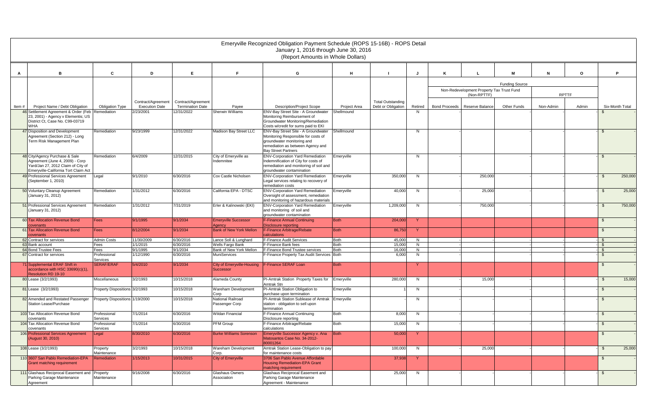|       |                                                                            |                                 |                                             |                                               |                                                | Emeryville Recognized Obligation Payment Schedule (ROPS 15-16B) - ROPS Detail<br>January 1, 2016 through June 30, 2016<br>(Report Amounts in Whole Dollars) |                     |                                                |         |                      |                                           |                       |           |              |                |                 |
|-------|----------------------------------------------------------------------------|---------------------------------|---------------------------------------------|-----------------------------------------------|------------------------------------------------|-------------------------------------------------------------------------------------------------------------------------------------------------------------|---------------------|------------------------------------------------|---------|----------------------|-------------------------------------------|-----------------------|-----------|--------------|----------------|-----------------|
|       |                                                                            |                                 |                                             |                                               |                                                |                                                                                                                                                             |                     |                                                |         |                      |                                           |                       |           |              |                |                 |
| A     | в                                                                          | $\mathbf{c}$                    | D                                           | F.                                            |                                                | G                                                                                                                                                           | H                   |                                                | IJ      |                      |                                           | м                     | N         | $\Omega$     |                | D               |
|       |                                                                            |                                 |                                             |                                               |                                                |                                                                                                                                                             |                     |                                                |         |                      |                                           | <b>Funding Source</b> |           |              |                |                 |
|       |                                                                            |                                 |                                             |                                               |                                                |                                                                                                                                                             |                     |                                                |         |                      | Non-Redevelopment Property Tax Trust Fund |                       |           |              |                |                 |
|       |                                                                            |                                 |                                             |                                               |                                                |                                                                                                                                                             |                     |                                                |         |                      | (Non-RPTTF)                               |                       |           | <b>RPTTF</b> |                |                 |
|       | Project Name / Debt Obligation                                             |                                 | Contract/Agreement<br><b>Execution Date</b> | Contract/Agreement<br><b>Termination Date</b> |                                                | <b>Description/Project Scope</b>                                                                                                                            | <b>Project Area</b> | <b>Total Outstanding</b><br>Debt or Obligation | Retired | <b>Bond Proceeds</b> | Reserve Balance                           | <b>Other Funds</b>    | Non-Admin | Admin        |                | Six-Month Total |
| Item# | 46 Settlement Agreement & Order (Feb Remediation                           | <b>Obligation Type</b>          | 2/23/2001                                   | 12/31/2022                                    | Payee<br><b>Sherwin Williams</b>               | ENV-Bay Street Site - A Groundwater                                                                                                                         | Shellmound          |                                                | N.      |                      |                                           |                       |           |              |                |                 |
|       | 23, 2001) - Agency v Elementis; US                                         |                                 |                                             |                                               |                                                | Monitoring Reimbursement of                                                                                                                                 |                     |                                                |         |                      |                                           |                       |           |              |                |                 |
|       | District Ct, Case No. C99-03719<br><b>WHA</b>                              |                                 |                                             |                                               |                                                | Groundwater Monitoring/Remediation<br>Costs w/credit for sums paid to EKI                                                                                   |                     |                                                |         |                      |                                           |                       |           |              |                |                 |
|       | 47 Disposition and Development                                             | Remediation                     | 9/23/1999                                   | 12/31/2022                                    | Madison Bay Street LLC                         | ENV-Bay Street Site - A Groundwater                                                                                                                         | <b>Shellmound</b>   |                                                | N       |                      |                                           |                       |           |              | - \$           |                 |
|       | Agreement (Section 212) - Long<br>Term Risk Management Plan                |                                 |                                             |                                               |                                                | Monitoring Responsible for costs of<br>groundwater monitoring and                                                                                           |                     |                                                |         |                      |                                           |                       |           |              |                |                 |
|       |                                                                            |                                 |                                             |                                               |                                                | remediation as between Agency and                                                                                                                           |                     |                                                |         |                      |                                           |                       |           |              |                |                 |
|       | 48 City/Agency Purchase & Sale                                             | Remediation                     | 6/4/2009                                    | 12/31/2015                                    | City of Emeryville as                          | <b>Bay Street Partners</b><br><b>ENV-Corporation Yard Remediation</b>                                                                                       | Emeryville          |                                                | N       |                      |                                           |                       |           |              | -\$            |                 |
|       | Agreement (June 4, 2009) - Corp                                            |                                 |                                             |                                               | Indemnitee                                     | Indemnification of City for costs of                                                                                                                        |                     |                                                |         |                      |                                           |                       |           |              |                |                 |
|       | Yard/Jan 27, 2012 Claim of City of<br>Emeryville-California Tort Claim Act |                                 |                                             |                                               |                                                | remediation and monitoring of soil and<br>groundwater contamination                                                                                         |                     |                                                |         |                      |                                           |                       |           |              |                |                 |
|       | 49 Professional Services Agreement                                         | Legal                           | 9/1/2010                                    | 6/30/2016                                     | Cox Castle Nicholsen                           | <b>ENV-Corporation Yard Remediation</b>                                                                                                                     | Emeryville          | 350,000                                        | N       |                      | 250,000                                   |                       |           |              | -\$            | 250,000         |
|       | (September 1, 2010)                                                        |                                 |                                             |                                               |                                                | Legal services relating to recovery of                                                                                                                      |                     |                                                |         |                      |                                           |                       |           |              |                |                 |
|       | 50 Voluntary Cleanup Agreement                                             | Remediation                     | 1/31/2012                                   | 6/30/2016                                     | California EPA - DTSC                          | remediation costs<br><b>ENV-Corporation Yard Remediation</b>                                                                                                | Emeryville          | 40,000                                         | N       |                      | 25,000                                    |                       |           |              | \$             | 25,000          |
|       | (January 31, 2012)                                                         |                                 |                                             |                                               |                                                | Oversight of assessment, remediation                                                                                                                        |                     |                                                |         |                      |                                           |                       |           |              |                |                 |
|       | 51 Professional Services Agreement                                         | Remediation                     | 1/31/2012                                   | 7/31/2019                                     | Erler & Kalinowski (EKI)                       | and monitoring of hazardous materials<br><b>ENV-Corporation Yard Remediation</b>                                                                            | Emeryville          | 1,209,000                                      | N       |                      | 750,000                                   |                       |           |              | \$.            | 750,000         |
|       | (January 31, 2012)                                                         |                                 |                                             |                                               |                                                | and monitoring of soil and                                                                                                                                  |                     |                                                |         |                      |                                           |                       |           |              |                |                 |
|       |                                                                            |                                 |                                             |                                               |                                                | groundwater contamination                                                                                                                                   |                     |                                                |         |                      |                                           |                       |           |              |                |                 |
|       | 60 Tax Allocation Revenue Bond<br>ovenants                                 | Fees                            | 9/1/1995                                    | 9/1/2034                                      | <b>Emeryville Successor</b><br>Agency          | <b>F-Finance Annual Continuing</b><br>Disclosure reporting                                                                                                  | Both                | 204,000                                        | Y.      |                      |                                           |                       |           |              | -\$            |                 |
|       | 61 Tax Allocation Revenue Bond                                             | Fees                            | 8/12/2004                                   | 9/1/2034                                      | <b>Bank of New York Mellon</b>                 | F-Finance Arbitrage/Rebate                                                                                                                                  | <b>Both</b>         | 86,750                                         | Y.      |                      |                                           |                       |           |              | $\mathfrak{L}$ |                 |
|       | ovenants<br>62 Contract for services                                       | <b>Admin Costs</b>              | 11/30/2009                                  | 6/30/2016                                     | Lance Soll & Lunghard                          | calculations<br><b>F-Finance Audit Services</b>                                                                                                             | Both                | 45,000                                         | N       |                      |                                           |                       |           |              | -\$            |                 |
|       | 63 Bank account                                                            | Fees                            | 1/1/2015                                    | 6/30/2016                                     | <b>Wells Fargo Bank</b>                        | F-Finance Bank fees                                                                                                                                         | <b>Both</b>         | 15,000                                         | N       |                      |                                           |                       |           |              | -\$            |                 |
|       | 64 Bond Trustee Fees<br>67 Contract for services                           | Fees<br>Professional            | 9/1/1995<br>1/12/1990                       | 9/1/2034<br>6/30/2016                         | Bank of New York Mellon<br><b>MuniServices</b> | F-Finance Bond Trustee services<br>F-Finance Property Tax Audit Services Both                                                                               | <b>Both</b>         | 16,000<br>6,000                                | N<br>N  |                      |                                           |                       |           |              | - \$           |                 |
|       |                                                                            | <b>Services</b>                 |                                             |                                               |                                                |                                                                                                                                                             |                     |                                                |         |                      |                                           |                       |           |              |                |                 |
|       | 71 Supplemental ERAF Shift in<br>accordance with HSC 33690(c)(1),          | SERAF/ERAF                      | 5/4/2010                                    | 9/1/2034                                      | City of Emeryville-Housing                     | <b>F-Finance SERAF Loan</b>                                                                                                                                 | <b>Both</b>         |                                                | Y       |                      |                                           |                       |           |              | -\$            |                 |
|       | Resolution RD 19-10                                                        |                                 |                                             |                                               | Successor                                      |                                                                                                                                                             |                     |                                                |         |                      |                                           |                       |           |              |                |                 |
|       | 80 Lease (3/2/1993)                                                        | Miscellaneous                   | 3/2/1993                                    | 10/15/2018                                    | Alameda County                                 | PI-Amtrak Station Property Taxes for<br>Amtrak Stn                                                                                                          | Emeryville          | 280,000                                        | N       |                      | 15,000                                    |                       |           |              | \$             | 15,000          |
|       | 81 Lease (3/2/1993)                                                        | Property Dispositions 3/2/1993  |                                             | 10/15/2018                                    | <b>Wareham Development</b><br>Corp             | PI-Amtrak Station Obligation to<br>purchase upon termination                                                                                                | Emeryville          |                                                | N       |                      |                                           |                       |           |              | -\$            |                 |
|       | 82 Amended and Restated Passenger                                          | Property Dispositions 1/19/2000 |                                             | 10/15/2018                                    | National Railroad                              | PI-Amtrak Station Sublease of Amtrak Emeryville                                                                                                             |                     |                                                | N       |                      |                                           |                       |           |              | - \$           |                 |
|       | Station Lease/Purchase                                                     |                                 |                                             |                                               | Passenger Corp                                 | station - obligation to sell upon<br>termination                                                                                                            |                     |                                                |         |                      |                                           |                       |           |              |                |                 |
|       | 103 Tax Allocation Revenue Bond                                            | Professional                    | 7/1/2014                                    | 6/30/2016                                     | <b>Wildan Financial</b>                        | F-Finance Annual Continuing                                                                                                                                 | <b>Both</b>         | 8,000                                          | N       |                      |                                           |                       |           |              | \$             |                 |
|       | covenants                                                                  | Services                        |                                             |                                               |                                                | Disclosure reporting                                                                                                                                        |                     |                                                |         |                      |                                           |                       |           |              |                |                 |
|       | 104 Tax Allocation Revenue Bond<br>covenants                               | Professional<br>Services        | 7/1/2014                                    | 6/30/2016                                     | PFM Group                                      | F-Finance Arbitrage/Rebate<br>calculations                                                                                                                  | <b>Both</b>         | 15,000                                         | N       |                      |                                           |                       |           |              | $\mathfrak{S}$ |                 |
|       | 106 Professional Services Agreement                                        | Legal                           | 8/30/2010                                   | 6/30/2016                                     | <b>Burke Williams Sorenson</b>                 | Emeryville Successor Agency v. Ana                                                                                                                          | Both                | 50,000                                         | -Y      |                      |                                           |                       |           |              | \$             |                 |
|       | (August 30, 2010)                                                          |                                 |                                             |                                               |                                                | Matosantos Case No. 34-2012-<br>80001264                                                                                                                    |                     |                                                |         |                      |                                           |                       |           |              |                |                 |
|       | 108 Lease (3/2/1993)                                                       | Property                        | 3/2/1993                                    | 10/15/2018                                    | Wareham Development                            | Amtrak Station Lease-Obligation to pay                                                                                                                      |                     | 100,000                                        | N       |                      | 25,000                                    |                       |           |              | \$             | 25,000          |
|       | 110 3607 San Pablo Remediation-EPA                                         | Remediation                     | 1/15/2013                                   | 10/31/2015                                    | City of Emeryville                             | 3706 San Pablo Avenue Affordable                                                                                                                            |                     | 37,938                                         | -Y      |                      |                                           |                       |           |              | -\$            |                 |
|       | <b>Grant matching requirement</b>                                          |                                 |                                             |                                               |                                                | <b>Housing Remediation-EPA Grant</b>                                                                                                                        |                     |                                                |         |                      |                                           |                       |           |              |                |                 |
|       |                                                                            |                                 | 9/16/2008                                   |                                               |                                                |                                                                                                                                                             |                     |                                                | N       |                      |                                           |                       |           |              |                |                 |
|       | Parking Garage Maintenance                                                 | Maintenance                     |                                             |                                               | Association                                    | Parking Garage Maintenance                                                                                                                                  |                     |                                                |         |                      |                                           |                       |           |              |                |                 |
|       | 111 Glashaus Reciprocal Easement and Property<br>Agreement                 | Maintenance                     |                                             | 6/30/2016                                     | Corp.<br>Glashaus Owners                       | for maintenance costs<br>matching requirement<br>Glashaus Reciprocal Easement and<br>Agreement - Maintenance                                                |                     | 25,000                                         |         |                      |                                           |                       |           |              | $\sqrt{2}$     |                 |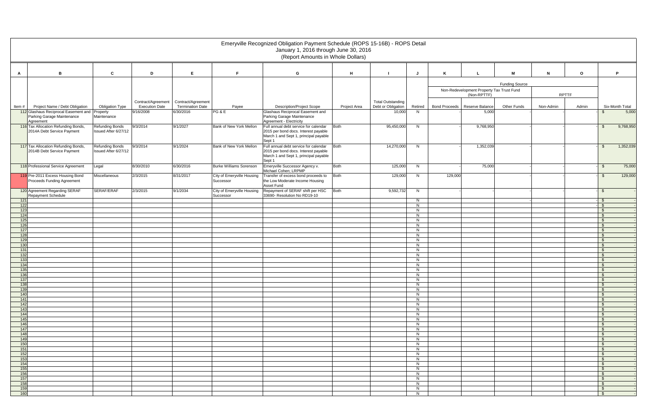|            |                                                                        |                                                |                                    |                               |                                         | Emeryville Recognized Obligation Payment Schedule (ROPS 15-16B) - ROPS Detail<br>January 1, 2016 through June 30, 2016<br>(Report Amounts in Whole Dollars) |                     |                              |               |                                 |                                                          |                       |           |              |                                      |
|------------|------------------------------------------------------------------------|------------------------------------------------|------------------------------------|-------------------------------|-----------------------------------------|-------------------------------------------------------------------------------------------------------------------------------------------------------------|---------------------|------------------------------|---------------|---------------------------------|----------------------------------------------------------|-----------------------|-----------|--------------|--------------------------------------|
|            |                                                                        |                                                |                                    |                               |                                         |                                                                                                                                                             |                     |                              |               |                                 |                                                          |                       |           |              |                                      |
| A          | B                                                                      | C                                              | D                                  | E                             | E.                                      | G                                                                                                                                                           | H                   |                              |               |                                 |                                                          | м                     | N         | $\mathbf{o}$ | P                                    |
|            |                                                                        |                                                |                                    |                               |                                         |                                                                                                                                                             |                     |                              |               |                                 |                                                          | <b>Funding Source</b> |           |              |                                      |
|            |                                                                        |                                                |                                    |                               |                                         |                                                                                                                                                             |                     |                              |               |                                 | Non-Redevelopment Property Tax Trust Fund<br>(Non-RPTTF) |                       |           | <b>RPTTF</b> |                                      |
|            |                                                                        |                                                | Contract/Agreement                 | Contract/Agreement            |                                         |                                                                                                                                                             |                     | <b>Total Outstanding</b>     |               |                                 |                                                          |                       |           |              |                                      |
| Item#      | Project Name / Debt Obligation<br>112 Glashaus Reciprocal Easement and | <b>Obligation Type</b><br>Property             | <b>Execution Date</b><br>9/16/2008 | Termination Date<br>6/30/2016 | Payee<br>PG & E                         | <b>Description/Project Scope</b><br>Glashaus Reciprocal Easement and                                                                                        | <b>Project Area</b> | Debt or Obligation<br>10,000 | Retired<br>N. | Bond Proceeds   Reserve Balance | 5,000                                                    | <b>Other Funds</b>    | Non-Admin | Admin        | Six-Month Total<br>5,000<br>-S       |
|            | Parking Garage Maintenance<br>Agreement                                | Maintenance                                    |                                    |                               |                                         | Parking Garage Maintenance<br>Agreement - Electricity                                                                                                       |                     |                              |               |                                 |                                                          |                       |           |              |                                      |
|            | 116 Tax Allocation Refunding Bonds,<br>2014A Debt Service Payment      | <b>Refunding Bonds</b><br>Issued After 6/27/12 | 9/3/2014                           | 9/1/2027                      | Bank of New York Mellon                 | Full annual debt service for calendar<br>2015 per bond docs. Interest payable<br>March 1 and Sept 1, principal payable<br>Sept 1                            | <b>Both</b>         | 95,450,000                   | N             |                                 | 9,768,950                                                |                       |           |              | 9,768,950<br>-\$                     |
|            | 117 Tax Allocation Refunding Bonds,<br>2014B Debt Service Payment      | <b>Refunding Bonds</b><br>Issued After 6/27/12 | 9/3/2014                           | 9/1/2024                      | Bank of New York Mellon                 | Full annual debt service for calendar<br>2015 per bond docs. Interest payable<br>March 1 and Sept 1, principal payable<br>Sept 1                            | <b>Both</b>         | 14,270,000                   | N             |                                 | 1,352,039                                                |                       |           |              | 1,352,039<br>- \$                    |
|            | 118 Professional Service Agreement                                     | Legal                                          | 8/30/2010                          | 6/30/2016                     | <b>Burke Williams Sorenson</b>          | Emeryville Successor Agency v.<br>Michael Cohen; LRPMP                                                                                                      | <b>Both</b>         | 125,000                      | N             |                                 | 75,000                                                   |                       |           |              | 75,000<br>\$                         |
|            | 119 Pre-2011 Excess Housing Bond<br>Proceeds Funding Agreement         | Miscellaneous                                  | 2/3/2015                           | 8/31/2017                     | City of Emeryville Housing<br>Successor | Transfer of excess bond proceeds to<br>the Low Moderate Income Housing<br>Asset Fund                                                                        | <b>Both</b>         | 129,000                      | N.            | 129,000                         |                                                          |                       |           |              | 129,000<br>$\mathfrak{F}$            |
|            | 120 Agreement Regarding SERAF<br>Repayment Schedule                    | SERAF/ERAF                                     | 2/3/2015                           | 9/1/2034                      | City of Emeryville Housing<br>Successor | Repayment of SERAF shift per HSC<br>33690- Resolution No RD19-10                                                                                            | <b>Both</b>         | 9,592,732                    | N             |                                 |                                                          |                       |           |              | \$                                   |
| 121        |                                                                        |                                                |                                    |                               |                                         |                                                                                                                                                             |                     |                              | N             |                                 |                                                          |                       |           |              | $\sqrt{3}$                           |
| 122<br>123 |                                                                        |                                                |                                    |                               |                                         |                                                                                                                                                             |                     |                              | N<br>N        |                                 |                                                          |                       |           |              | $\sqrt{3}$<br>$\mathsf{\$}$          |
| 124        |                                                                        |                                                |                                    |                               |                                         |                                                                                                                                                             |                     |                              | N             |                                 |                                                          |                       |           |              | $\mathsf{\$}$                        |
| 125<br>126 |                                                                        |                                                |                                    |                               |                                         |                                                                                                                                                             |                     |                              | N<br>N        |                                 |                                                          |                       |           |              | $\sqrt{3}$<br>$\sqrt{3}$             |
| 127        |                                                                        |                                                |                                    |                               |                                         |                                                                                                                                                             |                     |                              | N.            |                                 |                                                          |                       |           |              | $\mathfrak{S}$                       |
| 128<br>129 |                                                                        |                                                |                                    |                               |                                         |                                                                                                                                                             |                     |                              | N<br>N        |                                 |                                                          |                       |           |              | $\mathfrak{S}$<br>$\mathcal{S}$      |
| 130        |                                                                        |                                                |                                    |                               |                                         |                                                                                                                                                             |                     |                              | N             |                                 |                                                          |                       |           |              | $\mathsf{\$}$                        |
| 131<br>132 |                                                                        |                                                |                                    |                               |                                         |                                                                                                                                                             |                     |                              | N<br>N        |                                 |                                                          |                       |           |              | $\mathbb{S}$<br>$\mathbb{S}$         |
| 133        |                                                                        |                                                |                                    |                               |                                         |                                                                                                                                                             |                     |                              | N             |                                 |                                                          |                       |           |              | $\mathfrak{s}$                       |
| 134<br>135 |                                                                        |                                                |                                    |                               |                                         |                                                                                                                                                             |                     |                              | N<br>N        |                                 |                                                          |                       |           |              | $\mathfrak{s}$<br>$\mathbf{\hat{s}}$ |
| 136        |                                                                        |                                                |                                    |                               |                                         |                                                                                                                                                             |                     |                              | N             |                                 |                                                          |                       |           |              | _ ±                                  |
| 137        |                                                                        |                                                |                                    |                               |                                         |                                                                                                                                                             |                     |                              | N             |                                 |                                                          |                       |           |              | $\mathfrak{s}$                       |
| 138<br>139 |                                                                        |                                                |                                    |                               |                                         |                                                                                                                                                             |                     |                              | N<br>N        |                                 |                                                          |                       |           |              | $\frac{1}{2}$<br>$\mathbb{S}$        |
| 140        |                                                                        |                                                |                                    |                               |                                         |                                                                                                                                                             |                     |                              | N             |                                 |                                                          |                       |           |              | $\frac{1}{2}$                        |
| 141<br>142 |                                                                        |                                                |                                    |                               |                                         |                                                                                                                                                             |                     |                              | N<br>N        |                                 |                                                          |                       |           |              | $\sqrt{3}$<br>$\mathfrak{s}$         |
| 143        |                                                                        |                                                |                                    |                               |                                         |                                                                                                                                                             |                     |                              | N             |                                 |                                                          |                       |           |              | $\sqrt{3}$                           |
| 144<br>145 |                                                                        |                                                |                                    |                               |                                         |                                                                                                                                                             |                     |                              | N<br>N        |                                 |                                                          |                       |           |              | $\mathbb{S}$<br>$\mathbb{S}$         |
| 146        |                                                                        |                                                |                                    |                               |                                         |                                                                                                                                                             |                     |                              | N             |                                 |                                                          |                       |           |              | $\mathsf{\$}$                        |
| 147        |                                                                        |                                                |                                    |                               |                                         |                                                                                                                                                             |                     |                              | N             |                                 |                                                          |                       |           |              | $\mathbb{S}$                         |
| 148<br>149 |                                                                        |                                                |                                    |                               |                                         |                                                                                                                                                             |                     |                              | N<br>N        |                                 |                                                          |                       |           |              | $\frac{1}{2}$<br>$\mathsf{\$}$       |
| 150        |                                                                        |                                                |                                    |                               |                                         |                                                                                                                                                             |                     |                              | N             |                                 |                                                          |                       |           |              | $\mathfrak{s}$                       |
| 151<br>152 |                                                                        |                                                |                                    |                               |                                         |                                                                                                                                                             |                     |                              | N<br>N        |                                 |                                                          |                       |           |              | $\sqrt{3}$<br>$\mathbb{S}$           |
| 153        |                                                                        |                                                |                                    |                               |                                         |                                                                                                                                                             |                     |                              | N             |                                 |                                                          |                       |           |              | $\mathbb{S}$                         |
| 154<br>155 |                                                                        |                                                |                                    |                               |                                         |                                                                                                                                                             |                     |                              | N<br>N        |                                 |                                                          |                       |           |              | $\mathsf{\$}$<br>$\mathsf{\$}$       |
| 156        |                                                                        |                                                |                                    |                               |                                         |                                                                                                                                                             |                     |                              | N             |                                 |                                                          |                       |           |              | $\mathsf{\$}$                        |
| 157        |                                                                        |                                                |                                    |                               |                                         |                                                                                                                                                             |                     |                              | N             |                                 |                                                          |                       |           |              | $\mathsf{s}$                         |
| 158<br>159 |                                                                        |                                                |                                    |                               |                                         |                                                                                                                                                             |                     |                              | N<br>N        |                                 |                                                          |                       |           |              | $\sqrt{3}$<br>$\sqrt{3}$             |
| 160        |                                                                        |                                                |                                    |                               |                                         |                                                                                                                                                             |                     |                              | N             |                                 |                                                          |                       |           |              | $\sqrt{3}$                           |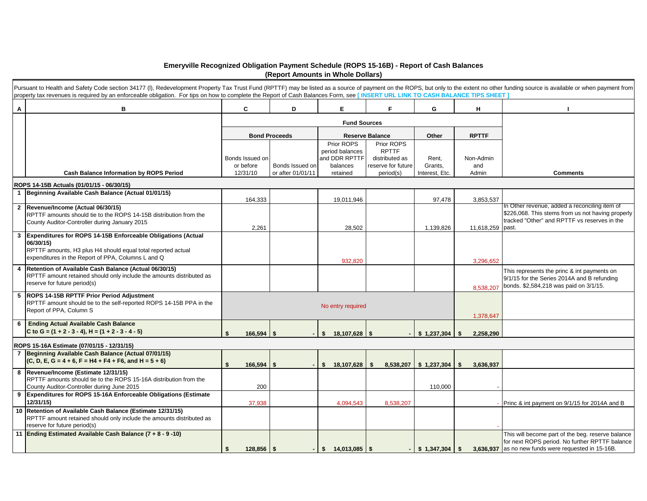## **Emeryville Recognized Obligation Payment Schedule (ROPS 15-16B) - Report of Cash Balances (Report Amounts in Whole Dollars)**

|                | Pursuant to Health and Safety Code section 34177 (I), Redevelopment Property Tax Trust Fund (RPTTF) may be listed as a source of payment on the ROPS, but only to the extent no other funding source is available or when paym<br>property tax revenues is required by an enforceable obligation. For tips on how to complete the Report of Cash Balances Form, see [INSERT URL LINK TO CASH BALANCE TIPS SHEET] |                                          |                                      |                                                                        |                                                                                 |                                    |                           |                                                                                                                                                            |
|----------------|------------------------------------------------------------------------------------------------------------------------------------------------------------------------------------------------------------------------------------------------------------------------------------------------------------------------------------------------------------------------------------------------------------------|------------------------------------------|--------------------------------------|------------------------------------------------------------------------|---------------------------------------------------------------------------------|------------------------------------|---------------------------|------------------------------------------------------------------------------------------------------------------------------------------------------------|
| Α              | в                                                                                                                                                                                                                                                                                                                                                                                                                | C                                        | D                                    | E                                                                      | F                                                                               | G                                  | н.                        |                                                                                                                                                            |
|                |                                                                                                                                                                                                                                                                                                                                                                                                                  |                                          |                                      |                                                                        | <b>Fund Sources</b>                                                             |                                    |                           |                                                                                                                                                            |
|                |                                                                                                                                                                                                                                                                                                                                                                                                                  |                                          | <b>Bond Proceeds</b>                 |                                                                        | <b>Reserve Balance</b>                                                          | Other                              | <b>RPTTF</b>              |                                                                                                                                                            |
|                | <b>Cash Balance Information by ROPS Period</b>                                                                                                                                                                                                                                                                                                                                                                   | Bonds Issued on<br>or before<br>12/31/10 | Bonds Issued on<br>or after 01/01/11 | Prior ROPS<br>period balances<br>and DDR RPTTF<br>balances<br>retained | Prior ROPS<br><b>RPTTF</b><br>distributed as<br>reserve for future<br>period(s) | Rent.<br>Grants,<br>Interest, Etc. | Non-Admin<br>and<br>Admin | <b>Comments</b>                                                                                                                                            |
|                | ROPS 14-15B Actuals (01/01/15 - 06/30/15)                                                                                                                                                                                                                                                                                                                                                                        |                                          |                                      |                                                                        |                                                                                 |                                    |                           |                                                                                                                                                            |
|                | 1 Beginning Available Cash Balance (Actual 01/01/15)                                                                                                                                                                                                                                                                                                                                                             | 164,333                                  |                                      | 19,011,946                                                             |                                                                                 | 97,478                             | 3,853,537                 |                                                                                                                                                            |
|                | 2 Revenue/Income (Actual 06/30/15)<br>RPTTF amounts should tie to the ROPS 14-15B distribution from the<br>County Auditor-Controller during January 2015                                                                                                                                                                                                                                                         | 2,261                                    |                                      | 28,502                                                                 |                                                                                 | 1,139,826                          | 11,618,259 past.          | In Other revenue, added a reconciling item of<br>\$226,068. This stems from us not having properly<br>tracked "Other" and RPTTF vs reserves in the         |
| 3              | <b>Expenditures for ROPS 14-15B Enforceable Obligations (Actual</b><br>06/30/15)<br>RPTTF amounts, H3 plus H4 should equal total reported actual<br>expenditures in the Report of PPA, Columns L and Q                                                                                                                                                                                                           |                                          |                                      | 932,820                                                                |                                                                                 |                                    | 3,296,652                 |                                                                                                                                                            |
|                | 4 Retention of Available Cash Balance (Actual 06/30/15)<br>RPTTF amount retained should only include the amounts distributed as<br>reserve for future period(s)                                                                                                                                                                                                                                                  |                                          |                                      |                                                                        |                                                                                 |                                    | 8,538,207                 | This represents the princ & int payments on<br>9/1/15 for the Series 2014A and B refunding<br>bonds. \$2,584,218 was paid on 3/1/15.                       |
|                | 5 ROPS 14-15B RPTTF Prior Period Adjustment<br>RPTTF amount should tie to the self-reported ROPS 14-15B PPA in the<br>Report of PPA, Column S                                                                                                                                                                                                                                                                    |                                          |                                      | No entry required                                                      |                                                                                 |                                    | 1,378,647                 |                                                                                                                                                            |
| 6              | <b>Ending Actual Available Cash Balance</b><br>C to G = $(1 + 2 - 3 - 4)$ , H = $(1 + 2 - 3 - 4 - 5)$                                                                                                                                                                                                                                                                                                            | \$s                                      | $166,594$ \$                         | s.<br>$18,107,628$ \ \$                                                |                                                                                 | \$1,237,304                        | 2,258,290<br>- \$         |                                                                                                                                                            |
|                | ROPS 15-16A Estimate (07/01/15 - 12/31/15)                                                                                                                                                                                                                                                                                                                                                                       |                                          |                                      |                                                                        |                                                                                 |                                    |                           |                                                                                                                                                            |
| $\overline{7}$ | Beginning Available Cash Balance (Actual 07/01/15)<br>$(C, D, E, G = 4 + 6, F = H4 + F4 + F6, and H = 5 + 6)$                                                                                                                                                                                                                                                                                                    | $\mathbf{s}$                             | $166,594$ \$                         | \$18,107,628                                                           | \$<br>8,538,207                                                                 | \$1,237,304                        | S.<br>3,636,937           |                                                                                                                                                            |
|                | 8 Revenue/Income (Estimate 12/31/15)<br>RPTTF amounts should tie to the ROPS 15-16A distribution from the<br>County Auditor-Controller during June 2015                                                                                                                                                                                                                                                          |                                          | 200                                  |                                                                        |                                                                                 | 110,000                            |                           |                                                                                                                                                            |
|                | 9 Expenditures for ROPS 15-16A Enforceable Obligations (Estimate<br>12/31/15)                                                                                                                                                                                                                                                                                                                                    | 37,938                                   |                                      | 4,094,543                                                              | 8,538,207                                                                       |                                    |                           | Princ & int payment on 9/1/15 for 2014A and B                                                                                                              |
|                | 10 Retention of Available Cash Balance (Estimate 12/31/15)<br>RPTTF amount retained should only include the amounts distributed as<br>reserve for future period(s)                                                                                                                                                                                                                                               |                                          |                                      |                                                                        |                                                                                 |                                    |                           |                                                                                                                                                            |
|                | 11 Ending Estimated Available Cash Balance (7 + 8 - 9 -10)                                                                                                                                                                                                                                                                                                                                                       | Ŝ.                                       | $128,856$ \$                         |                                                                        |                                                                                 | $-$ \$ 1.347.304                   | \$                        | This will become part of the beg. reserve balance<br>for next ROPS period. No further RPTTF balance<br>3,636,937 as no new funds were requested in 15-16B. |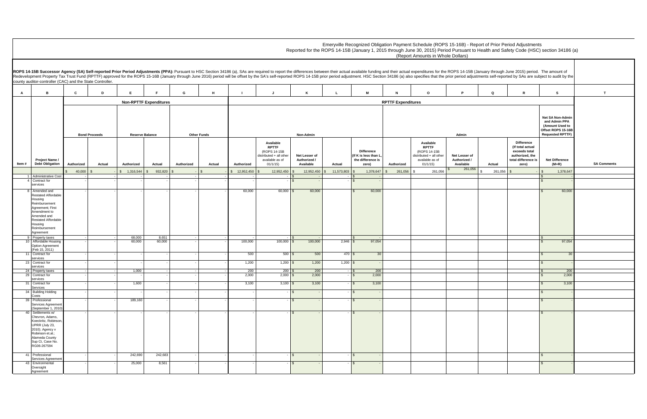|               | January through June 2015) period. The amount of                                                   | stments self-reported by SAs are subject to audit by the                                              |                    |
|---------------|----------------------------------------------------------------------------------------------------|-------------------------------------------------------------------------------------------------------|--------------------|
| Q             | R                                                                                                  | s                                                                                                     | T                  |
|               |                                                                                                    |                                                                                                       |                    |
|               |                                                                                                    | Net SA Non-Admin<br>and Admin PPA<br>(Amount Used to<br>Offset ROPS 15-16B<br><b>Requested RPTTF)</b> |                    |
| Actual        | Difference<br>(If total actual<br>exceeds total<br>authorized, the<br>total difference is<br>zero) | <b>Net Difference</b><br>$(M+R)$                                                                      | <b>SA Comments</b> |
| \$<br>261,056 | \$                                                                                                 | $\,$<br>1,378,647<br>\$                                                                               |                    |
|               |                                                                                                    | $\qquad \qquad \blacksquare$<br>\$<br>$\overline{a}$                                                  |                    |
|               |                                                                                                    | \$<br>60,000                                                                                          |                    |
|               |                                                                                                    | \$                                                                                                    |                    |
|               |                                                                                                    | $\sqrt{2}$<br>97,054                                                                                  |                    |
|               |                                                                                                    |                                                                                                       |                    |
|               |                                                                                                    | \$<br>30                                                                                              |                    |
|               |                                                                                                    | \$<br>L,                                                                                              |                    |
|               |                                                                                                    | \$<br>200<br>\$<br>2,000                                                                              |                    |
|               |                                                                                                    | \$<br>3,100                                                                                           |                    |
|               |                                                                                                    | $\boldsymbol{\theta}$                                                                                 |                    |
|               |                                                                                                    | \$                                                                                                    |                    |
|               |                                                                                                    | $\pmb{\$}$                                                                                            |                    |
|               |                                                                                                    |                                                                                                       |                    |
|               |                                                                                                    | \$                                                                                                    |                    |
|               |                                                                                                    | \$<br>L,                                                                                              |                    |

**A B C D E F G H I J K L M N O P Q R S T Authorized Actual Authorized Actual Authorized Actual Authorized Available RPTTF**  (ROPS 14-15B istributed + all other available as of 01/1/15)  **Net Lesser of Authorized / Available Actual Difference (If K is less than L, the difference is zero) Authorized Available RPTTF**  (ROPS 14-15B distributed + all other available as of 01/1/15)  **Net Lesser of Authorized /**  Available<br>
261,056 \$ 40,000 \$ - \$ 1,316,544 \$ 932,820 \$ - \$ 12,952,450 \$ 12,952,450 \$ 12,952,450 \$ 11,573,803 \$ 1,378,647 \$ 261,056 \$ 261,056 \$ 261,056 \$ 261,056 \$ - \$ 1,378,647 1 Administrative Cost 4 Contract for - - - - - - - - \$ - - \$ - \$ services - - - - - - - - \$ - - \$ - \$ - Amended and **Restated Affordabl** Housing Reimbursement Agreement; First Amendment to Amended and Restated Affordable Housing Reimbursement Agreement - - - - - - 60,000 60,000 \$ 60,000 \$ 60,000 \$ 60,000 9 Property taxes - - 68,000 8,651 - - - - \$ - \$ - \$ - 10 Affordable Housing Option Agreement (Feb 15, 2011) - - 60,000 60,000 - - 100,000 100,000 \$ 100,000 2,946 \$ 97,054 \$ 97,054 11 Contract for services - | - | - | - | - | - | 500 | 500 |\$ 500 |\$ 470 |\$ 30 | | | | | | | |\$ 30 23 Contract for services<br>24 Property taxes - - - - - - 1,200 1,200 \$ 1,200 1,200 \$ - \$ - 24 Property taxes - - 1,000 - - - 200 200 \$ 200 - \$ 200 \$ 200 29 Contract for ervices - - - - - - 2,000 2,000 \$ 2,000 - \$ 2,000 \$ 2,000 31 Contract for ervices - | - | 1,600 | - | - | - | - | 3,100 | 3,100 |\$ 3,100 | - |\$ 3,100 | | | | | | | | | | | | \$ 3,100 | 34 Building Holding **Costs**  - - - - - - - - \$ - - \$ - \$ - 39 Professional Services Agreement September 1, 2010 - - 189,160 - - - - - \$ - - \$ - \$ - 40 Settlements w/ Chevron, Adams, Koeckritz, Robinson, UPRR (July 23, 2010); Agency v Robinson et.al.; Alameda County Sup Ct, Case No. RG06-267594 - - - - - - - - \$ - - \$ - \$ - 41 Professional Services Agreeme - - 242,690 242,683 - - - - \$ - - \$ - \$ - 43 Environmental **Oversight A**greement - - 25,000 8,561 - - - - \$ - - \$ - \$ - Emeryville Recognized Obligation Payment Schedule (ROPS 15-16B) - Report of Prior Period Adjustments Reported for the ROPS 14-15B (January 1, 2015 through June 30, 2015) Period Pursuant to Health and Safety Code (HSC) section 34186 (a) (Report Amounts in Whole Dollars) ROPS 14-15B Successor Agency (SA) Self-reported Prior Period Adjustments (PPA): Pursuant to HSC Section 34186 (a), SAs are required to report the differences between their actual available funding and their actual expendit Redevelopment Property Tax Trust Fund (RPTTF) approved for the ROPS 15-16B (January through June 2016) period will be offset by the SA's self-reported ROPS 14-15B prior period adjustment. HSC Section 34186 (a) also specifi county auditor-controller (CAC) and the State Controller. **Item # Project Name / Debt Obligation Non-RPTTF Expenditures Bond Proceeds Reserve Balance Other Funds Non-Admin Admin RPTTF Expenditures**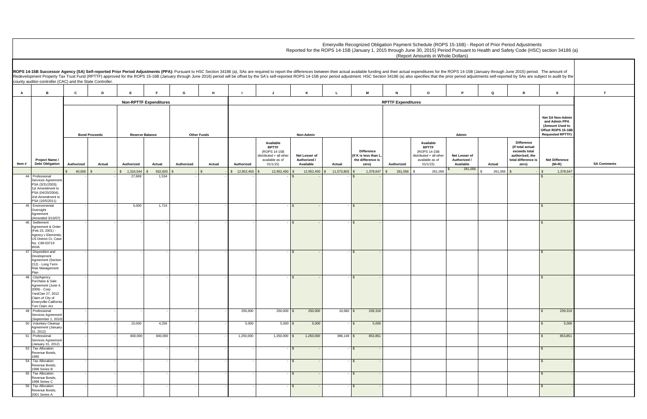|                 | January through June 2015) period. The amount of<br>stments self-reported by SAs are subject to audit by the |                                                                                                       |                    |
|-----------------|--------------------------------------------------------------------------------------------------------------|-------------------------------------------------------------------------------------------------------|--------------------|
| Q               | R                                                                                                            | s                                                                                                     | т                  |
|                 |                                                                                                              |                                                                                                       |                    |
|                 |                                                                                                              | Net SA Non-Admin<br>and Admin PPA<br>(Amount Used to<br>Offset ROPS 15-16B<br><b>Requested RPTTF)</b> |                    |
| Actual          | Difference<br>(If total actual<br>exceeds total<br>authorized, the<br>total difference is<br>zero)           | <b>Net Difference</b><br>$(M+R)$                                                                      | <b>SA Comments</b> |
| $\,$<br>261,056 | $\, \, \raisebox{-1.5pt}{\text{\circle*{1.5}}}\,$<br>-                                                       | $\, \, \raisebox{12pt}{$\scriptstyle\circ$}$<br>1,378,647                                             |                    |
|                 |                                                                                                              | \$                                                                                                    |                    |
|                 |                                                                                                              | \$                                                                                                    |                    |
|                 |                                                                                                              | $\pmb{\$}$                                                                                            |                    |
|                 |                                                                                                              | $\pmb{\$}$                                                                                            |                    |
|                 |                                                                                                              | $\pmb{\$}$                                                                                            |                    |
|                 |                                                                                                              | 239,318<br>$\pmb{\$}$                                                                                 |                    |
|                 |                                                                                                              | \$<br>5,000                                                                                           |                    |
|                 |                                                                                                              | \$<br>853,851                                                                                         |                    |
|                 |                                                                                                              | $\pmb{\$}$<br>-                                                                                       |                    |
|                 |                                                                                                              | \$<br>$\qquad \qquad \blacksquare$                                                                    |                    |
|                 |                                                                                                              | \$<br>-                                                                                               |                    |
|                 |                                                                                                              | \$<br>$\overline{a}$                                                                                  |                    |

**A B C D E F G H I J K L M N O P Q R S T Authorized Actual Authorized Actual Authorized Actual Authorized Available RPTTF**  (ROPS 14-15B istributed + all other available as of 01/1/15)  **Net Lesser of Authorized / Available Actual Difference (If K is less than L, the difference is zero) Authorized Available RPTTF**  (ROPS 14-15B distributed + all other available as of 01/1/15)  **Net Lesser of Authorized /**  Available<br>261,056 \$ 40,000 \$ - \$ 1,316,544 \$ 932,820 \$ - \$ 12,952,450 \$ 12,952,450 \$ 12,952,450 \$ 11,573,803 \$ 1,378,647 \$ 261,056 \$ 261,056 \$ 261,056 \$ 261,056 \$ - \$ 1,378,647 Emeryville Recognized Obligation Payment Schedule (ROPS 15-16B) - Report of Period Adjustments Reported for the ROPS 14-15B (January 1, 2015 through June 30, 2015) Period Pursuant to (Report Amounts in Whole Dollars) ROPS 14-15B Successor Agency (SA) Self-reported Prior Period Adjustments (PPA): Pursuant to HSC Section 34186 (a), SAs are required to report the differences between their actual available funding and their actual expendit Redevelopment Property Tax Trust Fund (RPTTF) approved for the ROPS 15-16B (January through June 2016) period will be offset by the SA's self-reported ROPS 14-15B prior period adjustment. HSC Section 34186 (a) also specifi county auditor-controller (CAC) and the State Controller. **Item # Project Name / Debt Obligation Non-RPTTF Expenditures Bond Proceeds Reserve Balance Other Funds Non-Admin Admin RPTTF Expenditures** 44 Professional Services Agreeme PSA (3/31/2003); 1st Amendment to PSA (04/20/2004); 2nd Amendment to PSA (10/5/2011) - - 27,869 1,534 - - - - \$ - - \$ - \$ - 45 Environmental **Oversight** Agreement (Amended 3/13/07) - - 5,000 1,724 - - - - \$ - - \$ - \$ - 46 Settlement Agreement & Order (Feb 23, 2001) - Agency v Elementis; US District Ct, Case No. C99-03719 WHA - - - - - - - - \$ - - \$ - \$ - 47 Disposition and Development Agreement (Section 212) - Long Term Risk Management Plan - - - - - - - - \$ - - \$ - \$ - 48 City/Agency Purchase & Sale Agreement (June 4, 2009) - Corp Yard/Jan 27, 2012 Claim of City of -<br>Emeryville-Californi Tort Claim Act - - - - - - - - \$ - - \$ - \$ - 49 Professional Services Agreeme September 1, 2010 - | - - | - | - | - | - | 250,000 | 250,000 |\$ 250,000 | 10,682 |\$ 239,318 | | | | | | | | | | | \$ 239,318 50 Voluntary Cleanup Agreement (January 31, 2012) - - 15,000 4,256 - - 5,000 5,000 \$ 5,000 - \$ 5,000 \$ 5,000 51 Professional Services Agreeme January 31, 2012) - - 600,000 600,000 - - 1,250,000 1,250,000 \$ 1,250,000 396,149 \$ 853,851 \$ 853,851 53 Tax Allocation Revenue Bonds, 1995 - - - - - - - - \$ - - \$ - \$ - 54 Tax Allocation Revenue Bonds, 1998 Series B - - - - - - - - \$ - - \$ - \$ - 55 Tax Allocation Revenue Bonds, 1998 Series C  $- \vert$  -  $\vert$  -  $\vert$  -  $\vert$  -  $\vert$  -  $\vert$  -  $\vert$  -  $\vert$  -  $\vert$  -  $\vert$  -  $\vert$  -  $\vert$  -  $\vert$  -  $\vert$  -  $\vert$  -  $\vert$  -  $\vert$  -  $\vert$  -  $\vert$  -  $\vert$  -  $\vert$  -  $\vert$  -  $\vert$  -  $\vert$  -  $\vert$  -  $\vert$  -  $\vert$  -  $\vert$  -  $\vert$  -  $\vert$  -  $\vert$  -  $\vert$  56 Tax Allocation Revenue Bonds. 2001 Series A - - - - - - - - \$ - - \$ - \$ -

| port of Prior Period Adjustments               |  |
|------------------------------------------------|--|
| Health and Safety Code (HSC) section 34186 (a) |  |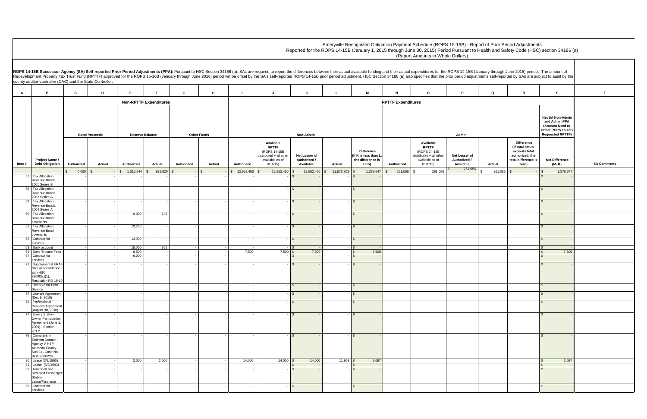**A B C D E F G H I J K L M N O P Q R S T Authorized Actual Authorized Actual Authorized Actual Authorized Available RPTTF**  (ROPS 14-15B istributed + all other available as of 01/1/15)  **Net Lesser of Authorized / Available Actual Difference (If K is less than L, the difference is zero) Authorized Available RPTTF**  (ROPS 14-15B distributed + all other available as of 01/1/15)  **Net Lesser of Authorized /**  Available<br>
261,056 \$ 40,000 \$ - \$ 1,316,544 \$ 932,820 \$ - \$ 12,952,450 \$ 12,952,450 \$ 12,952,450 \$ 11,573,803 \$ 1,378,647 \$ 261,056 \$ 261,056 \$ 261,056 \$ 261,056 \$ - \$ 1,378,647 Emeryville Recognized Obligation Payment Schedule (ROPS 15-16B) - Rep Reported for the ROPS 14-15B (January 1, 2015 through June 30, 2015) Period Pursuant to (Report Amounts in Whole Dollars) ROPS 14-15B Successor Agency (SA) Self-reported Prior Period Adjustments (PPA): Pursuant to HSC Section 34186 (a), SAs are required to report the differences between their actual available funding and their actual expendit Redevelopment Property Tax Trust Fund (RPTTF) approved for the ROPS 15-16B (January through June 2016) period will be offset by the SA's self-reported ROPS 14-15B prior period adjustment. HSC Section 34186 (a) also specifi county auditor-controller (CAC) and the State Controller. **Item # Project Name / Debt Obligation Non-RPTTF Expenditures Bond Proceeds Reserve Balance Other Funds Non-Admin Admin RPTTF Expenditures** 57 Tax Allocation Revenue Bonds, 2001 Series B - - - - - - - - \$ - - \$ - \$ - 58 Tax Allocation Revenue Bonds, 2002 Series A - - - - - - - - \$ - - \$ - \$ - 59 Tax Allocation Revenue Bonds, 2004 Series A - - - - - - - - \$ - - \$ - \$ - 60 Tax Allocation Revenue Bond covenants - - 6,000 746 - - - - \$ - - \$ - \$ - 61 Tax Allocation Revenue Bond covenants - - 13,250 - - - - - \$ - - \$ - \$ - 62 Contract for services<br>63 Bank account - - 13,000 - - - - - \$ - - \$ - \$ - 63 Bank account - - 15,000 365 - - - - \$ - - \$ - \$ - 64 Bond Trustee Fees - - 8,500 - - - 7,500 7,500 \$ 7,500 \$ 7,500 \$ 7,500 64 Bond Trustee Fees<br>67 Contract for services - - 6,000 - - - - - \$ - - \$ - \$ - 71 Supplemental ERAF Shift in accordance with HSC 33690(c)(1), Resolution RD 19-10 - - - - - - - - \$ - - \$ - \$ - 73 Reserve for Debt Service - - - - - - - - \$ - - \$ - \$ - 74 License Agreement (Dec 9, 2010) - - - - - - - - \$ - - \$ - \$ - Professional Services Agreemer (August 30, 2010) - - - - - - - - \$ - - \$ - \$ - 77 Emery Station Owner Participation Agreement (June 1, 2009) - Section  $201.2$  - - - - - - - - \$ - - \$ - \$ - 78 Complaint in Eminent Domain - Agency V HSP; Alameda County Sup Ct., Case No. RG10-506236<br>80 Lease (3/2/1993)<br>81 Lease (3/2/1993) - - - - - - - - \$ - - \$ - \$ - 80 | Lease (3/2/1993) | - | 2,000 | 2,000 | - | - | 14,000 | 14,000 |\$ 14,000 | 11,903 |\$ 2,097 | | | | | | | | 81 Lease (3/2/1993) - - - - - - - - \$ - - \$ - \$ - 82 Amended and Restated Passenge Station Lease/Purchase - - - - - - - - \$ - - \$ - \$ - 86 Contract for ervices  $- \vert$  -  $\vert$  -  $\vert$  -  $\vert$  -  $\vert$  -  $\vert$  -  $\vert$  -  $\vert$  -  $\vert$  -  $\vert$  -  $\vert$  -  $\vert$  -  $\vert$  -  $\vert$  -  $\vert$  -  $\vert$  -  $\vert$  -  $\vert$  -  $\vert$  -  $\vert$  -  $\vert$  -  $\vert$  -  $\vert$  -  $\vert$  -  $\vert$  -  $\vert$  -  $\vert$  -  $\vert$  -  $\vert$  -  $\vert$  -  $\vert$  -  $\vert$ 

| port of Prior Period Adjustments               |  |
|------------------------------------------------|--|
| Health and Safety Code (HSC) section 34186 (a) |  |

|               | January through June 2015) period. The amount of                                                   | stments self-reported by SAs are subject to audit by the                                                     |                    |
|---------------|----------------------------------------------------------------------------------------------------|--------------------------------------------------------------------------------------------------------------|--------------------|
| Q             | R                                                                                                  | s                                                                                                            | т                  |
|               |                                                                                                    |                                                                                                              |                    |
|               |                                                                                                    | <b>Net SA Non-Admin</b><br>and Admin PPA<br>(Amount Used to<br>Offset ROPS 15-16B<br><b>Requested RPTTF)</b> |                    |
| Actual        | Difference<br>(If total actual<br>exceeds total<br>authorized, the<br>total difference is<br>zero) | <b>Net Difference</b><br>$(M+R)$                                                                             | <b>SA Comments</b> |
| \$<br>261,056 | \$                                                                                                 | 1,378,647<br>\$                                                                                              |                    |
|               |                                                                                                    | \$                                                                                                           |                    |
|               |                                                                                                    | \$<br>$\overline{a}$                                                                                         |                    |
|               |                                                                                                    | \$<br>-                                                                                                      |                    |
|               |                                                                                                    | \$<br>$\overline{a}$                                                                                         |                    |
|               |                                                                                                    | \$<br>$\overline{a}$                                                                                         |                    |
|               |                                                                                                    | $\pmb{\$}$<br>$\overline{a}$                                                                                 |                    |
|               |                                                                                                    | \$<br>\$<br>7,500                                                                                            |                    |
|               |                                                                                                    | \$                                                                                                           |                    |
|               |                                                                                                    | \$                                                                                                           |                    |
|               |                                                                                                    |                                                                                                              |                    |
|               |                                                                                                    | $\pmb{\$}$<br>$\overline{a}$                                                                                 |                    |
|               |                                                                                                    | \$                                                                                                           |                    |
|               |                                                                                                    | $\boldsymbol{\theta}$                                                                                        |                    |
|               |                                                                                                    | $\pmb{\$}$<br>$\overline{a}$                                                                                 |                    |
|               |                                                                                                    | \$                                                                                                           |                    |
|               |                                                                                                    | \$<br>2,097                                                                                                  |                    |
|               |                                                                                                    | $\ddot{s}$<br>$\overline{\$}$<br>L,                                                                          |                    |
|               |                                                                                                    |                                                                                                              |                    |
|               |                                                                                                    | \$                                                                                                           |                    |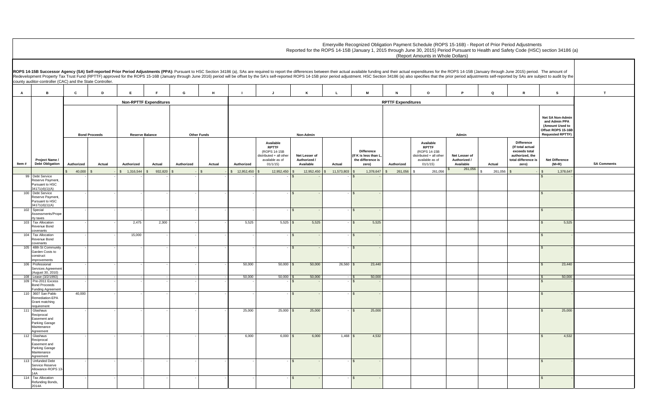|               | January through June 2015) period. The amount of                                                   | stments self-reported by SAs are subject to audit by the                                              |                    |
|---------------|----------------------------------------------------------------------------------------------------|-------------------------------------------------------------------------------------------------------|--------------------|
| Q             | R                                                                                                  | s                                                                                                     | т                  |
|               |                                                                                                    |                                                                                                       |                    |
|               |                                                                                                    | Net SA Non-Admin<br>and Admin PPA<br>(Amount Used to<br>Offset ROPS 15-16B<br><b>Requested RPTTF)</b> |                    |
| Actual        | Difference<br>(If total actual<br>exceeds total<br>authorized, the<br>total difference is<br>zero) | <b>Net Difference</b><br>$(M+R)$                                                                      | <b>SA Comments</b> |
| \$<br>261,056 | $\,$<br>-                                                                                          | \$<br>1,378,647                                                                                       |                    |
|               |                                                                                                    | $\overline{\mathcal{S}}$                                                                              |                    |
|               |                                                                                                    | \$                                                                                                    |                    |
|               |                                                                                                    | $\pmb{\$}$                                                                                            |                    |
|               |                                                                                                    | \$<br>5,525                                                                                           |                    |
|               |                                                                                                    | \$<br>$\overline{a}$                                                                                  |                    |
|               |                                                                                                    | \$                                                                                                    |                    |
|               |                                                                                                    | \$<br>23,440                                                                                          |                    |
|               |                                                                                                    | 50,000<br>\$<br>\$                                                                                    |                    |
|               |                                                                                                    | \$                                                                                                    |                    |
|               |                                                                                                    | $\pmb{\$}$<br>25,000                                                                                  |                    |
|               |                                                                                                    | $\pmb{\$}$<br>4,532                                                                                   |                    |
|               |                                                                                                    | $\pmb{\$}$                                                                                            |                    |
|               |                                                                                                    | \$<br>í,                                                                                              |                    |

**A B C D E F G H I J K L M N O P Q R S T Authorized Actual Authorized Actual Authorized Actual Authorized Available RPTTF**  (ROPS 14-15B istributed + all other available as of 01/1/15)  **Net Lesser of Authorized / Available Actual Difference (If K is less than L, the difference is zero) Authorized Available RPTTF**  (ROPS 14-15B distributed + all other available as of 01/1/15)  **Net Lesser of Authorized /**  Available<br>
261,056 \$ 40,000 \$ - \$ 1,316,544 \$ 932,820 \$ - \$ 12,952,450 \$ 12,952,450 \$ 12,952,450 \$ 11,573,803 \$ 1,378,647 \$ 261,056 \$ 261,056 \$ 261,056 \$ 261,056 \$ - \$ 1,378,647 Emeryville Recognized Obligation Payment Schedule (ROPS 15-16B) - Report of Period Adjustments Reported for the ROPS 14-15B (January 1, 2015 through June 30, 2015) Period Pursuant to (Report Amounts in Whole Dollars) ROPS 14-15B Successor Agency (SA) Self-reported Prior Period Adjustments (PPA): Pursuant to HSC Section 34186 (a), SAs are required to report the differences between their actual available funding and their actual expendit Redevelopment Property Tax Trust Fund (RPTTF) approved for the ROPS 15-16B (January through June 2016) period will be offset by the SA's self-reported ROPS 14-15B prior period adjustment. HSC Section 34186 (a) also specifi county auditor-controller (CAC) and the State Controller. **Item # Project Name / Debt Obligation Non-RPTTF Expenditures Bond Proceeds Reserve Balance Other Funds Non-Admin Admin RPTTF Expenditures** 99 Debt Service Reserve Payment, Pursuant to HSC  $34171(d)(1)(A)$  - - - - - - - - \$ - - \$ - \$ - 100 Debt Service Reserve Payment, Pursuant to HSC 34171(d)(1)(A) - - - - - - - - \$ - - \$ - \$ - 102 Special Assessments/Prope rty taxes - - - - - - - - \$ - - \$ - \$ - 103 Tax Allocation Revenue Bond covenants - | 2,475 | 2,300 | | | 5,525 | 5,525 |\$ 5,525 |\$ 5,525 | | | | | |\$ 5,525 104 Tax Allocation Revenue Bond covenants - - 15,000 - - - - - \$ - - \$ - \$ - 105 48th St Community Garden Costs to construct improvements - - - - - - - - \$ - - \$ - \$ - 106 Professional Services Agreemer (August 30, 2010)<br>108 Lease (3/2/1993) - - - - - - 50,000 50,000 \$ 50,000 26,560 \$ 23,440 \$ 23,440 108 | Lease (3/2/1993) | - | - | - | - | - | 50,000 | 50,000 |\$ 50,000 | 50,000 | 50,000 | | | | | \$ 50,000 | 109 Pre-2011 Excess Bond Proceeds Funding Agreement - - - - - - - - \$ - - \$ - \$ - 110 3607 San Pablo Remediation-EPA Grant matching requirement 40,000 - - - - - - - \$ - - \$ - \$ - 111 Glashaus Reciprocal Easement and Parking Garage Maintenance Agreement - - - - - - 25,000 25,000 \$ 25,000 - \$ 25,000 \$ 25,000 112 Glashaus Reciprocal Easement and Parking Garage Maintenance Agreement - | - | - | - | - | - | - | 6,000 | 6,000 |\$ 6,000 | 1,468 |\$ 4,532 | | | | | | | | | | \$ 4,532 113 Unfunded Debt Service Reserve Allowance-ROPS 13 14A - - - - - - - - \$ - - \$ - \$ - 114 Tax Allocation Refunding Bonds, 2014A - - - - - - - - \$ - - \$ - \$ -

| port of Prior Period Adjustments               |  |
|------------------------------------------------|--|
| Health and Safety Code (HSC) section 34186 (a) |  |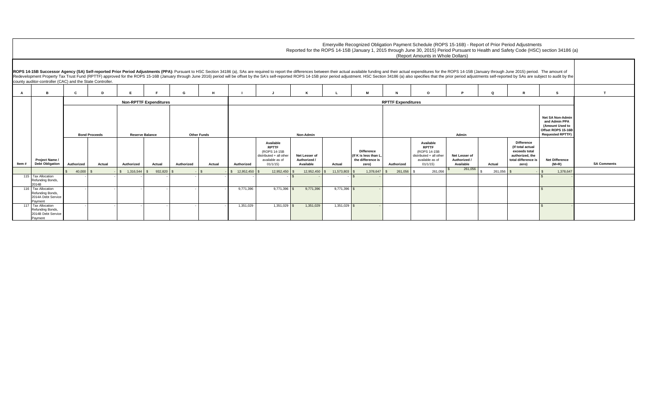|                                          | PS 14-15B (January through June 2015) period. The amount of<br>period adjustments self-reported by SAs are subject to audit by the |                                                                  |                                                                                                              |                    |
|------------------------------------------|------------------------------------------------------------------------------------------------------------------------------------|------------------------------------------------------------------|--------------------------------------------------------------------------------------------------------------|--------------------|
| P                                        | Q                                                                                                                                  | R                                                                | s                                                                                                            | T                  |
|                                          |                                                                                                                                    |                                                                  |                                                                                                              |                    |
| Admin                                    |                                                                                                                                    | <b>Difference</b><br>(If total actual                            | <b>Net SA Non-Admin</b><br>and Admin PPA<br>(Amount Used to<br>Offset ROPS 15-16B<br><b>Requested RPTTF)</b> |                    |
| et Lesser of<br>uthorized /<br>Available | Actual                                                                                                                             | exceeds total<br>authorized, the<br>total difference is<br>zero) | <b>Net Difference</b><br>$(M+R)$                                                                             | <b>SA Comments</b> |
| 261,056                                  | \$<br>261,056                                                                                                                      | $\mathfrak s$                                                    | \$<br>1,378,647                                                                                              |                    |
|                                          |                                                                                                                                    |                                                                  | $\mathbf{s}$                                                                                                 |                    |
|                                          |                                                                                                                                    |                                                                  | $\mathsf{\$}$                                                                                                |                    |
|                                          |                                                                                                                                    |                                                                  | $\mathbb{S}$                                                                                                 |                    |

|       |                                                                         |                               |                |                        |                                       |                    |                           |                                    |                                                                                                       |                                            |                      |                                                                         |            | Emeryville Recognized Obligation Payment Schedule (ROPS 15-16B) - Report of Prior Period Adjustments<br>(Report Amounts in Whole Dollars)                                                                                                                                                                                                                                                                                                                        |                                            |            |                                                                                                              | Reported for the ROPS 14-15B (January 1, 2015 through June 30, 2015) Period Pursuant to Health and Safety Code (HSC) section 34186 (a) |               |
|-------|-------------------------------------------------------------------------|-------------------------------|----------------|------------------------|---------------------------------------|--------------------|---------------------------|------------------------------------|-------------------------------------------------------------------------------------------------------|--------------------------------------------|----------------------|-------------------------------------------------------------------------|------------|------------------------------------------------------------------------------------------------------------------------------------------------------------------------------------------------------------------------------------------------------------------------------------------------------------------------------------------------------------------------------------------------------------------------------------------------------------------|--------------------------------------------|------------|--------------------------------------------------------------------------------------------------------------|----------------------------------------------------------------------------------------------------------------------------------------|---------------|
|       | county auditor-controller (CAC) and the State Controller.               |                               |                |                        |                                       |                    |                           |                                    |                                                                                                       |                                            |                      |                                                                         |            | ROPS 14-15B Successor Agency (SA) Self-reported Prior Period Adjustments (PPA): Pursuant to HSC Section 34186 (a), SAs are required to report the differences between their actual available funding and their actual expendit<br>Redevelopment Property Tax Trust Fund (RPTTF) approved for the ROPS 15-16B (January through June 2016) period will be offset by the SA's self-reported ROPS 14-15B prior period adjustment. HSC Section 34186 (a) also specifi |                                            |            |                                                                                                              |                                                                                                                                        |               |
|       | <b>B</b>                                                                |                               | D              |                        |                                       | G                  | н                         |                                    |                                                                                                       |                                            |                      | M                                                                       |            | $\circ$                                                                                                                                                                                                                                                                                                                                                                                                                                                          |                                            | Q          | R                                                                                                            | <b>S</b>                                                                                                                               |               |
|       |                                                                         | <b>Non-RPTTF Expenditures</b> |                |                        |                                       |                    | <b>RPTTF Expenditures</b> |                                    |                                                                                                       |                                            |                      |                                                                         |            |                                                                                                                                                                                                                                                                                                                                                                                                                                                                  |                                            |            |                                                                                                              |                                                                                                                                        |               |
|       |                                                                         | <b>Bond Proceeds</b>          |                | <b>Reserve Balance</b> |                                       | <b>Other Funds</b> |                           | <b>Non-Admin</b>                   |                                                                                                       |                                            |                      | Admin                                                                   |            |                                                                                                                                                                                                                                                                                                                                                                                                                                                                  |                                            |            | <b>Net SA Non-Admin</b><br>and Admin PPA<br>(Amount Used to<br>Offset ROPS 15-16B<br><b>Requested RPTTF)</b> |                                                                                                                                        |               |
| Item# | <b>Project Name /</b><br><b>Debt Obligation</b>                         | Authorized                    | Actual         | Authorized             | Actual                                | Authorized         |                           |                                    | Available<br><b>RPTTF</b><br>(ROPS 14-15B)<br>$distributed + all other$<br>available as of<br>01/1/15 | Net Lesser of<br>Authorized /<br>Available |                      | <b>Difference</b><br>(If K is less than L<br>the difference is<br>zero) | Authorized | Available<br><b>RPTTF</b><br>(ROPS 14-15B)<br>distributed + all other<br>available as of<br>01/1/15                                                                                                                                                                                                                                                                                                                                                              | Net Lesser of<br>Authorized /<br>Available | Actual     | <b>Difference</b><br>(If total actual<br>exceeds total<br>authorized, the<br>total difference is<br>zero)    | <b>Net Difference</b><br>$(M+R)$                                                                                                       | <b>SA Com</b> |
|       |                                                                         | 40,000                        | $\mathfrak{L}$ | \$ 1,316,544           | 932,820 \$<br>$\mathbf{\mathfrak{L}}$ |                    | Actual                    | Authorized<br>$$12,952,450$ \ \ \$ | 12,952,450 \$                                                                                         | 12,952,450 \$                              | Actual<br>11,573,803 | 1,378,647<br><b>S</b>                                                   | 261,056    | 261,056                                                                                                                                                                                                                                                                                                                                                                                                                                                          | 261,056                                    | 261,056 \$ |                                                                                                              | 1,378,647                                                                                                                              |               |
|       | 115 Tax Allocation<br>Refunding Bonds,<br>2014B                         |                               |                |                        |                                       |                    |                           |                                    |                                                                                                       |                                            |                      |                                                                         |            |                                                                                                                                                                                                                                                                                                                                                                                                                                                                  |                                            |            |                                                                                                              |                                                                                                                                        |               |
|       | 116 Tax Allocation<br>Refunding Bonds,<br>2014A Debt Service<br>Payment |                               |                |                        |                                       |                    |                           | 9,771,396                          | $9,771,396$ \$                                                                                        | 9,771,396                                  | $9,771,396$ \$       |                                                                         |            |                                                                                                                                                                                                                                                                                                                                                                                                                                                                  |                                            |            |                                                                                                              |                                                                                                                                        |               |
|       | 117 Tax Allocation<br>Refunding Bonds,<br>2014B Debt Service<br>Payment |                               |                |                        |                                       |                    |                           | 1,351,029                          | $1,351,029$ \$                                                                                        | 1,351,029                                  | $1.351.029$ \$       |                                                                         |            |                                                                                                                                                                                                                                                                                                                                                                                                                                                                  |                                            |            |                                                                                                              |                                                                                                                                        |               |